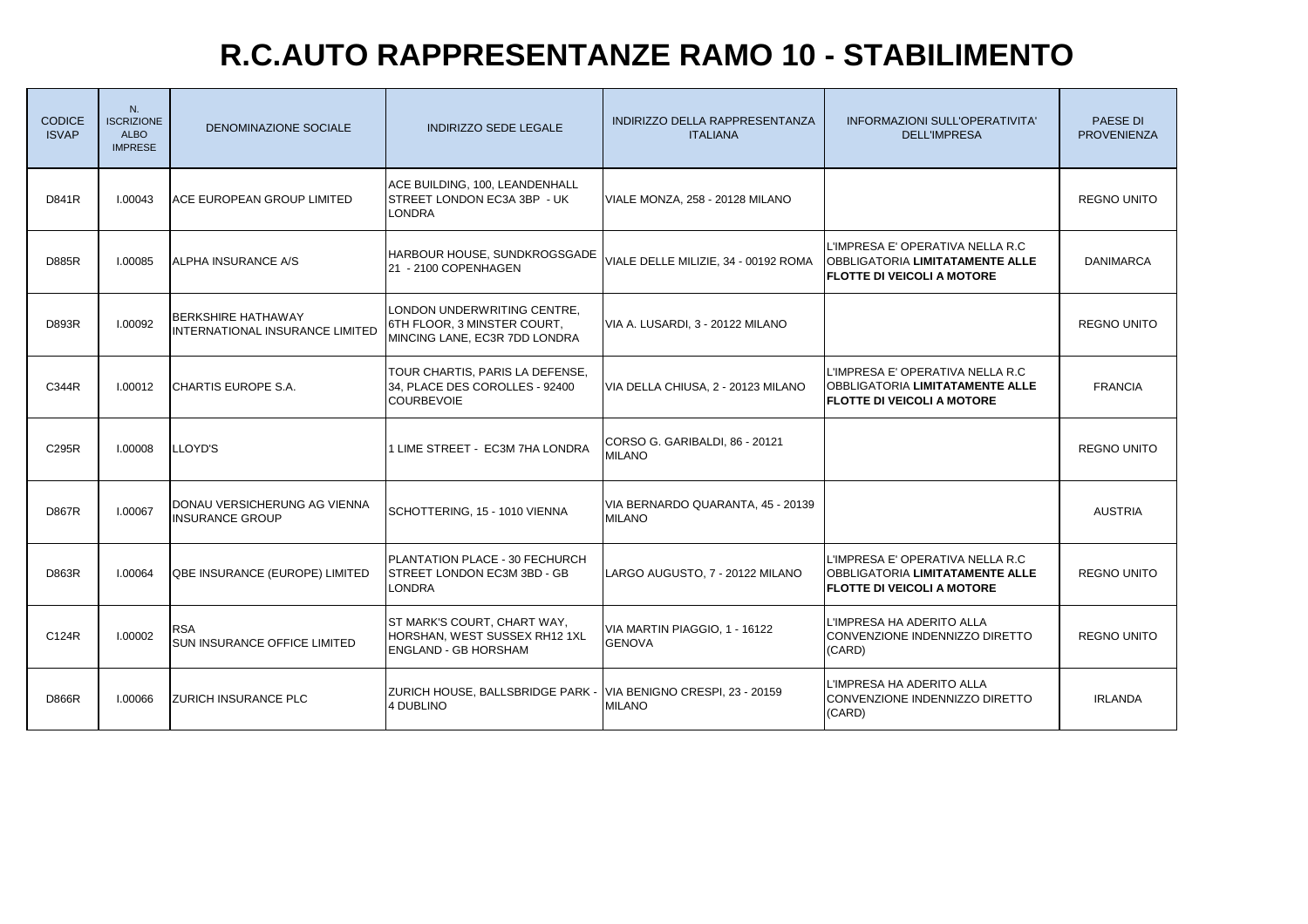### **R.C.AUTO RAPPRESENTANZE RAMO 10 - STABILIMENTO**

| <b>CODICE</b><br><b>ISVAP</b> | $N_{\cdot}$<br><b>ISCRIZIONE</b><br><b>ALBO</b><br><b>IMPRESE</b> | DENOMINAZIONE SOCIALE                                               | <b>INDIRIZZO SEDE LEGALE</b>                                                                | INDIRIZZO DELLA RAPPRESENTANZA<br><b>ITALIANA</b>  | INFORMAZIONI SULL'OPERATIVITA'<br><b>DELL'IMPRESA</b>                                                           | <b>PAESE DI</b><br><b>PROVENIENZA</b> |
|-------------------------------|-------------------------------------------------------------------|---------------------------------------------------------------------|---------------------------------------------------------------------------------------------|----------------------------------------------------|-----------------------------------------------------------------------------------------------------------------|---------------------------------------|
| D841R                         | 1.00043                                                           | ACE EUROPEAN GROUP LIMITED                                          | ACE BUILDING, 100, LEANDENHALL<br>STREET LONDON EC3A 3BP - UK<br>LONDRA                     | VIALE MONZA, 258 - 20128 MILANO                    |                                                                                                                 | <b>REGNO UNITO</b>                    |
| <b>D885R</b>                  | 1.00085                                                           | ALPHA INSURANCE A/S                                                 | HARBOUR HOUSE, SUNDKROGSGADE<br>21 - 2100 COPENHAGEN                                        | VIALE DELLE MILIZIE, 34 - 00192 ROMA               | L'IMPRESA E' OPERATIVA NELLA R.C<br><b>OBBLIGATORIA LIMITATAMENTE ALLE</b><br><b>FLOTTE DI VEICOLI A MOTORE</b> | <b>DANIMARCA</b>                      |
| D893R                         | 1.00092                                                           | <b>BERKSHIRE HATHAWAY</b><br><b>INTERNATIONAL INSURANCE LIMITED</b> | LONDON UNDERWRITING CENTRE,<br>6TH FLOOR. 3 MINSTER COURT.<br>MINCING LANE, EC3R 7DD LONDRA | VIA A. LUSARDI, 3 - 20122 MILANO                   |                                                                                                                 | <b>REGNO UNITO</b>                    |
| C344R                         | 1.00012                                                           | CHARTIS EUROPE S.A.                                                 | TOUR CHARTIS, PARIS LA DEFENSE,<br>34, PLACE DES COROLLES - 92400<br><b>COURBEVOIE</b>      | VIA DELLA CHIUSA, 2 - 20123 MILANO                 | L'IMPRESA E' OPERATIVA NELLA R.C<br><b>OBBLIGATORIA LIMITATAMENTE ALLE</b><br><b>FLOTTE DI VEICOLI A MOTORE</b> | <b>FRANCIA</b>                        |
| C295R                         | 1.00008                                                           | LLOYD'S                                                             | LIME STREET - EC3M 7HA LONDRA                                                               | CORSO G. GARIBALDI, 86 - 20121<br><b>MILANO</b>    |                                                                                                                 | <b>REGNO UNITO</b>                    |
| <b>D867R</b>                  | <b>I.00067</b>                                                    | DONAU VERSICHERUNG AG VIENNA<br><b>INSURANCE GROUP</b>              | SCHOTTERING, 15 - 1010 VIENNA                                                               | VIA BERNARDO QUARANTA, 45 - 20139<br><b>MILANO</b> |                                                                                                                 | <b>AUSTRIA</b>                        |
| <b>D863R</b>                  | 1.00064                                                           | QBE INSURANCE (EUROPE) LIMITED                                      | PLANTATION PLACE - 30 FECHURCH<br>STREET LONDON EC3M 3BD - GB<br><b>LONDRA</b>              | LARGO AUGUSTO, 7 - 20122 MILANO                    | L'IMPRESA E' OPERATIVA NELLA R.C<br><b>OBBLIGATORIA LIMITATAMENTE ALLE</b><br><b>FLOTTE DI VEICOLI A MOTORE</b> | <b>REGNO UNITO</b>                    |
| C124R                         | 1.00002                                                           | RSA<br>SUN INSURANCE OFFICE LIMITED                                 | ST MARK'S COURT, CHART WAY,<br>HORSHAN, WEST SUSSEX RH12 1XL<br><b>ENGLAND - GB HORSHAM</b> | VIA MARTIN PIAGGIO, 1 - 16122<br><b>GENOVA</b>     | L'IMPRESA HA ADERITO ALLA<br>CONVENZIONE INDENNIZZO DIRETTO<br>(CARD)                                           | <b>REGNO UNITO</b>                    |
| <b>D866R</b>                  | 1.00066                                                           | ZURICH INSURANCE PLC                                                | ZURICH HOUSE, BALLSBRIDGE PARK - VIA BENIGNO CRESPI, 23 - 20159<br>4 DUBLINO                | <b>MILANO</b>                                      | L'IMPRESA HA ADERITO ALLA<br>CONVENZIONE INDENNIZZO DIRETTO<br>(CARD)                                           | <b>IRLANDA</b>                        |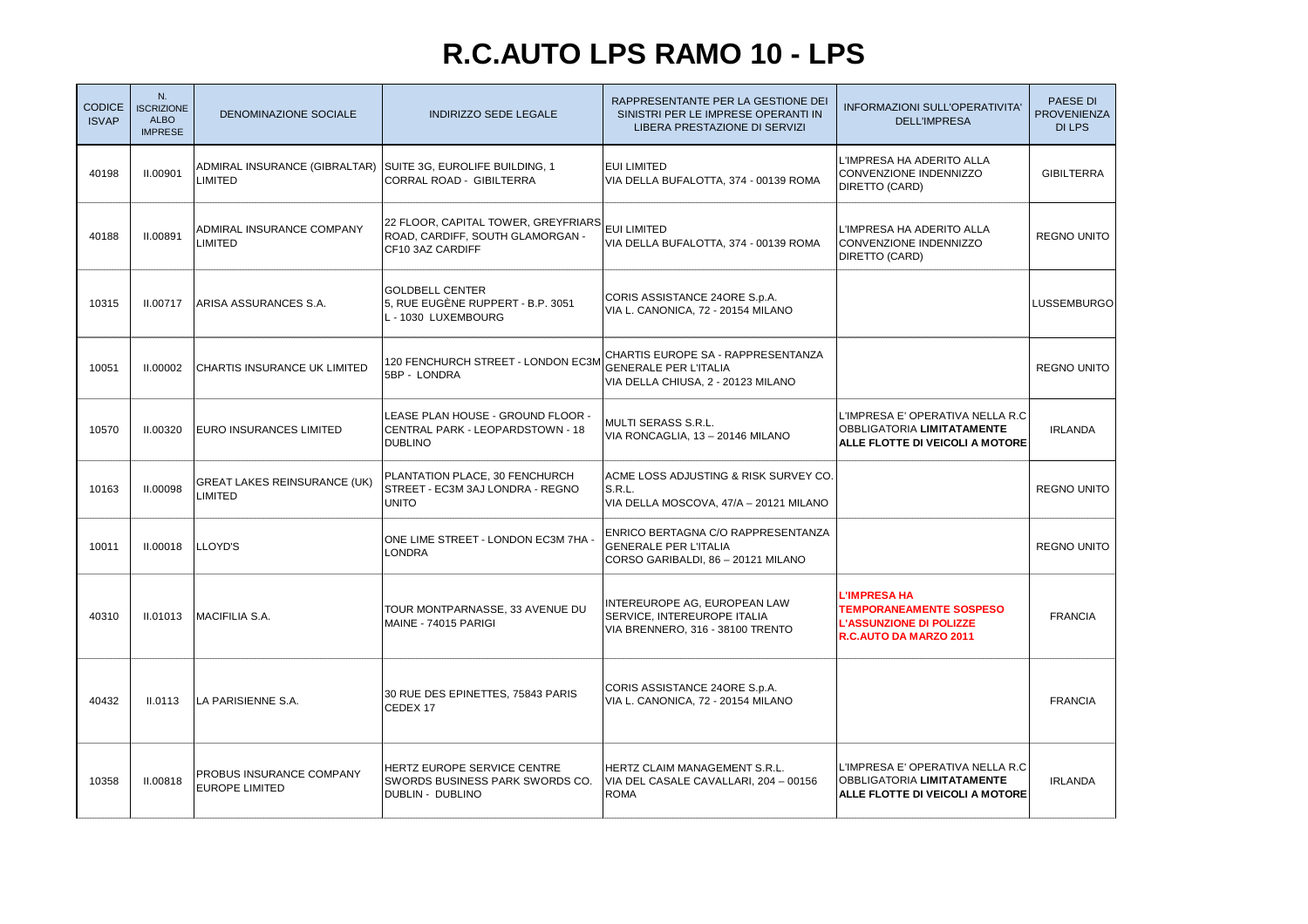### **R.C.AUTO LPS RAMO 10 - LPS**

| <b>CODICE</b><br><b>ISVAP</b> | N.<br><b>ISCRIZIONE</b><br><b>ALBO</b><br><b>IMPRESE</b> | DENOMINAZIONE SOCIALE                                                   | <b>INDIRIZZO SEDE LEGALE</b>                                                                | RAPPRESENTANTE PER LA GESTIONE DEI<br>SINISTRI PER LE IMPRESE OPERANTI IN<br>LIBERA PRESTAZIONE DI SERVIZI | INFORMAZIONI SULL'OPERATIVITA'<br><b>DELL'IMPRESA</b>                                                             | PAESE DI<br><b>PROVENIENZA</b><br><b>DILPS</b> |
|-------------------------------|----------------------------------------------------------|-------------------------------------------------------------------------|---------------------------------------------------------------------------------------------|------------------------------------------------------------------------------------------------------------|-------------------------------------------------------------------------------------------------------------------|------------------------------------------------|
| 40198                         | <b>II.00901</b>                                          | ADMIRAL INSURANCE (GIBRALTAR) SUITE 3G, EUROLIFE BUILDING, 1<br>LIMITED | <b>CORRAL ROAD - GIBILTERRA</b>                                                             | <b>EUI LIMITED</b><br>VIA DELLA BUFALOTTA, 374 - 00139 ROMA                                                | L'IMPRESA HA ADERITO ALLA<br>CONVENZIONE INDENNIZZO<br>DIRETTO (CARD)                                             | <b>GIBILTERRA</b>                              |
| 40188                         | <b>II.00891</b>                                          | ADMIRAL INSURANCE COMPANY<br>LIMITED                                    | 22 FLOOR, CAPITAL TOWER, GREYFRIARS<br>ROAD, CARDIFF, SOUTH GLAMORGAN -<br>CF10 3AZ CARDIFF | EUI LIMITED<br>VIA DELLA BUFALOTTA, 374 - 00139 ROMA                                                       | L'IMPRESA HA ADERITO ALLA<br>CONVENZIONE INDENNIZZO<br>DIRETTO (CARD)                                             | <b>REGNO UNITO</b>                             |
| 10315                         | II.00717                                                 | ARISA ASSURANCES S.A.                                                   | <b>GOLDBELL CENTER</b><br>5. RUE EUGÈNE RUPPERT - B.P. 3051<br>L - 1030 LUXEMBOURG          | CORIS ASSISTANCE 24ORE S.p.A.<br>VIA L. CANONICA, 72 - 20154 MILANO                                        |                                                                                                                   | <b>LUSSEMBURGO</b>                             |
| 10051                         | <b>II.00002</b>                                          | CHARTIS INSURANCE UK LIMITED                                            | 120 FENCHURCH STREET - LONDON EC3M<br>5BP - LONDRA                                          | CHARTIS EUROPE SA - RAPPRESENTANZA<br><b>GENERALE PER L'ITALIA</b><br>VIA DELLA CHIUSA, 2 - 20123 MILANO   |                                                                                                                   | <b>REGNO UNITO</b>                             |
| 10570                         | <b>II.00320</b>                                          | EURO INSURANCES LIMITED                                                 | LEASE PLAN HOUSE - GROUND FLOOR -<br>CENTRAL PARK - LEOPARDSTOWN - 18<br><b>DUBLINO</b>     | <b>MULTI SERASS S.R.L.</b><br>VIA RONCAGLIA, 13 - 20146 MILANO                                             | L'IMPRESA E' OPERATIVA NELLA R.C<br><b>OBBLIGATORIA LIMITATAMENTE</b><br>ALLE FLOTTE DI VEICOLI A MOTORE          | <b>IRLANDA</b>                                 |
| 10163                         | <b>II.00098</b>                                          | <b>GREAT LAKES REINSURANCE (UK)</b><br>LIMITED                          | PLANTATION PLACE, 30 FENCHURCH<br>STREET - EC3M 3AJ LONDRA - REGNO<br><b>UNITO</b>          | ACME LOSS ADJUSTING & RISK SURVEY CO.<br>S.R.L.<br>VIA DELLA MOSCOVA, 47/A - 20121 MILANO                  |                                                                                                                   | <b>REGNO UNITO</b>                             |
| 10011                         | <b>II.00018</b>                                          | LLOYD'S                                                                 | ONE LIME STREET - LONDON EC3M 7HA -<br><b>LONDRA</b>                                        | ENRICO BERTAGNA C/O RAPPRESENTANZA<br><b>GENERALE PER L'ITALIA</b><br>CORSO GARIBALDI, 86 - 20121 MILANO   |                                                                                                                   | <b>REGNO UNITO</b>                             |
| 40310                         | <b>II.01013</b>                                          | <b>MACIFILIA S.A.</b>                                                   | TOUR MONTPARNASSE, 33 AVENUE DU<br>MAINE - 74015 PARIGI                                     | INTEREUROPE AG, EUROPEAN LAW<br>SERVICE, INTEREUROPE ITALIA<br>VIA BRENNERO, 316 - 38100 TRENTO            | <b>L'IMPRESA HA</b><br><b>TEMPORANEAMENTE SOSPESO</b><br><b>L'ASSUNZIONE DI POLIZZE</b><br>R.C.AUTO DA MARZO 2011 | <b>FRANCIA</b>                                 |
| 40432                         | <b>II.0113</b>                                           | LA PARISIENNE S.A.                                                      | 30 RUE DES EPINETTES, 75843 PARIS<br>CEDEX 17                                               | CORIS ASSISTANCE 24ORE S.p.A.<br>VIA L. CANONICA, 72 - 20154 MILANO                                        |                                                                                                                   | <b>FRANCIA</b>                                 |
| 10358                         | <b>II.00818</b>                                          | PROBUS INSURANCE COMPANY<br><b>EUROPE LIMITED</b>                       | HERTZ EUROPE SERVICE CENTRE<br>SWORDS BUSINESS PARK SWORDS CO.<br>DUBLIN - DUBLINO          | HERTZ CLAIM MANAGEMENT S.R.L.<br>VIA DEL CASALE CAVALLARI, 204 - 00156<br><b>ROMA</b>                      | L'IMPRESA E' OPERATIVA NELLA R.C<br><b>OBBLIGATORIA LIMITATAMENTE</b><br><b>ALLE FLOTTE DI VEICOLI A MOTORE</b>   | <b>IRLANDA</b>                                 |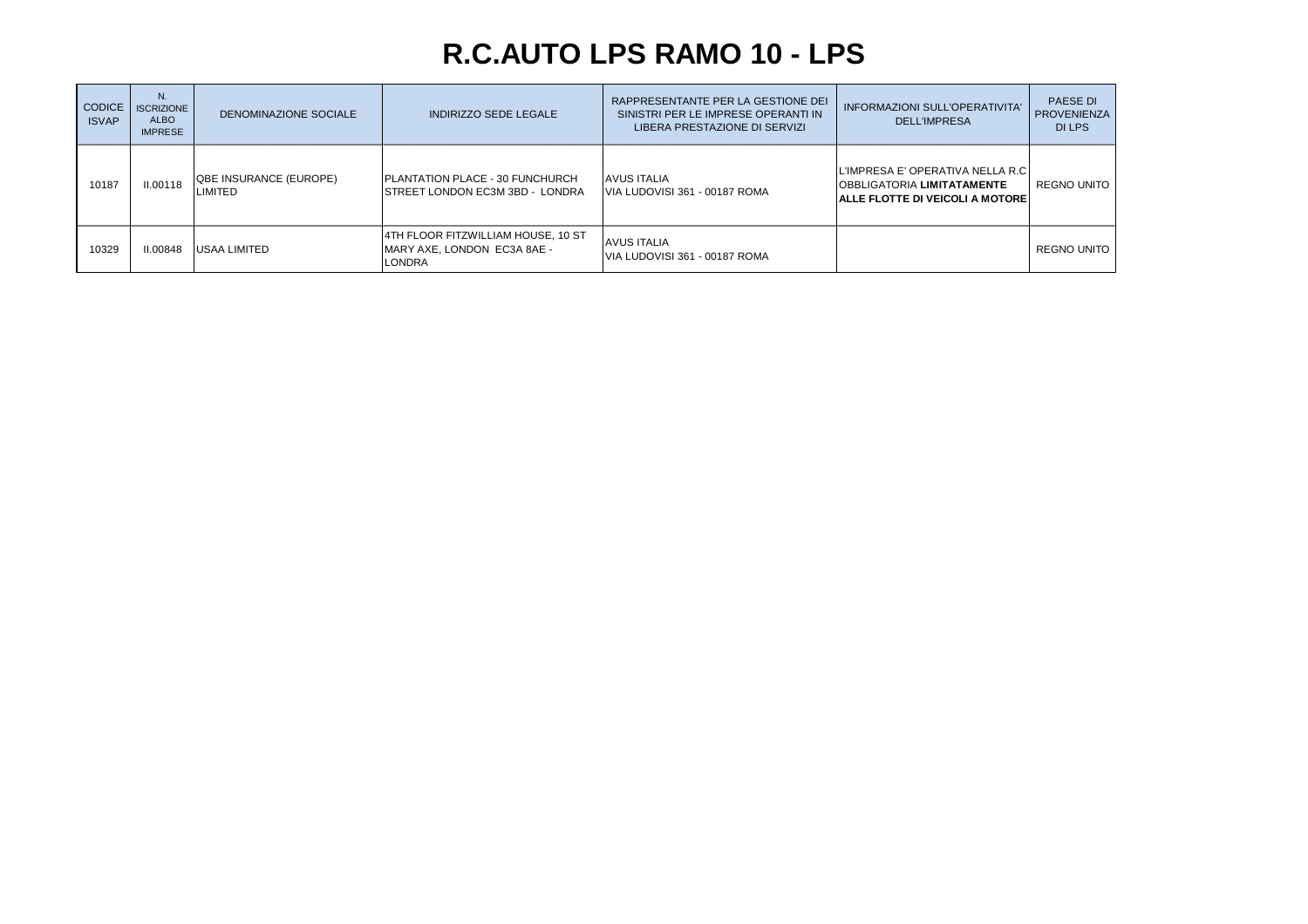### **R.C.AUTO LPS RAMO 10 - LPS**

| <b>CODICE</b><br><b>ISVAP</b> | N.<br><b>ISCRIZIONE</b><br><b>ALBO</b><br><b>IMPRESE</b> | DENOMINAZIONE SOCIALE                    | INDIRIZZO SEDE LEGALE                                                       | RAPPRESENTANTE PER LA GESTIONE DEI<br>SINISTRI PER LE IMPRESE OPERANTI IN<br>LIBERA PRESTAZIONE DI SERVIZI | <b>INFORMAZIONI SULL'OPERATIVITA'</b><br><b>DELL'IMPRESA</b>                                                       | <b>PAESE DI</b><br><b>PROVENIENZA</b><br>DI LPS |
|-------------------------------|----------------------------------------------------------|------------------------------------------|-----------------------------------------------------------------------------|------------------------------------------------------------------------------------------------------------|--------------------------------------------------------------------------------------------------------------------|-------------------------------------------------|
| 10187                         | <b>II.00118</b>                                          | <b>QBE INSURANCE (EUROPE)</b><br>LIMITED | PLANTATION PLACE - 30 FUNCHURCH<br><b>ISTREET LONDON EC3M 3BD - LONDRA</b>  | <b>AVUS ITALIA</b><br>VIA LUDOVISI 361 - 00187 ROMA                                                        | L'IMPRESA E' OPERATIVA NELLA R.C.<br><b>IOBBLIGATORIA LIMITATAMENTE</b><br><b>IALLE FLOTTE DI VEICOLI A MOTORE</b> | REGNO UNITO                                     |
| 10329                         | II.00848                                                 | <b>USAA LIMITED</b>                      | 4TH FLOOR FITZWILLIAM HOUSE, 10 ST<br>MARY AXE. LONDON EC3A 8AE -<br>LONDRA | <b>AVUS ITALIA</b><br>IVIA LUDOVISI 361 - 00187 ROMA                                                       |                                                                                                                    | <b>REGNO UNITO</b>                              |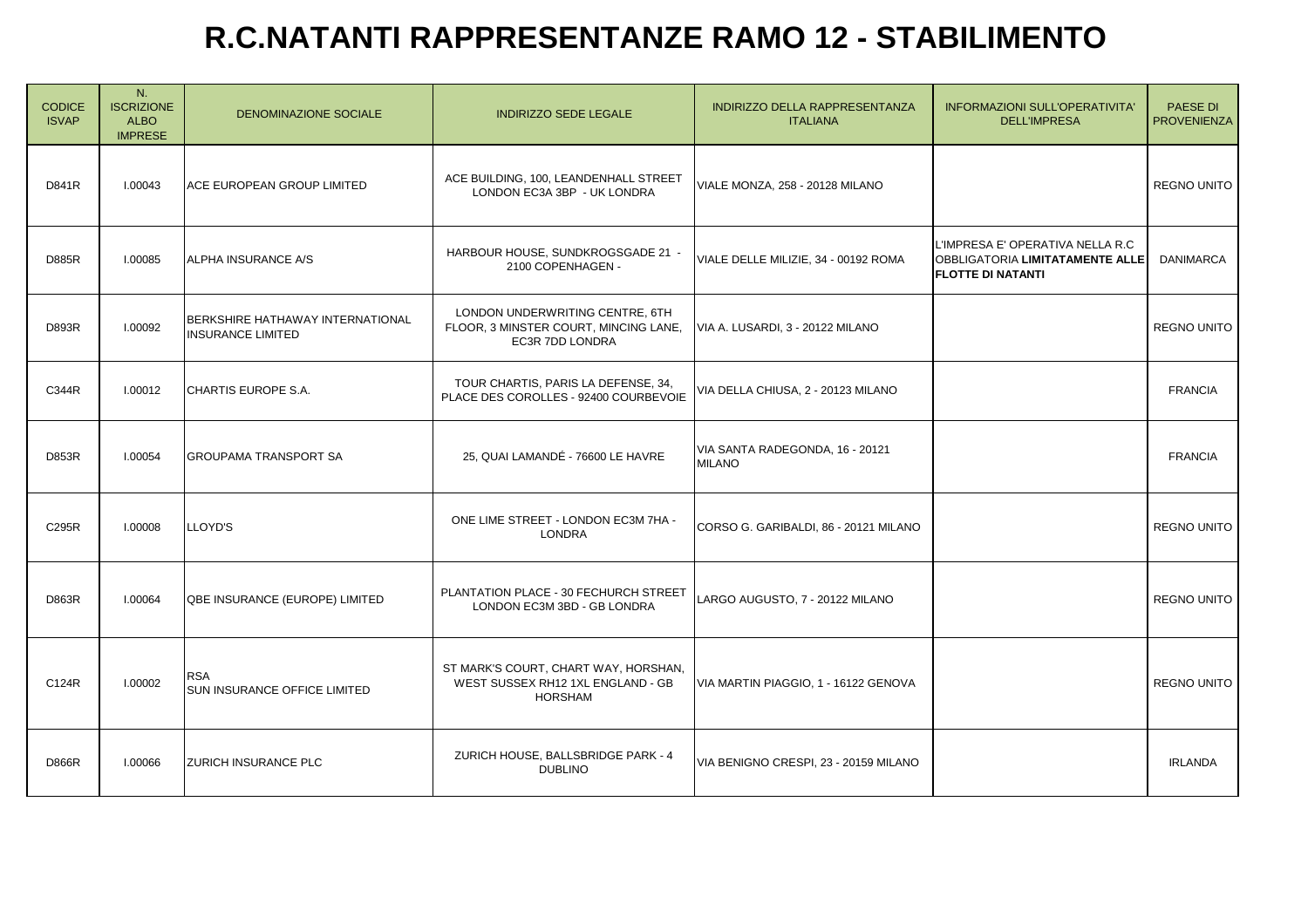## **R.C.NATANTI RAPPRESENTANZE RAMO 12 - STABILIMENTO**

| <b>CODICE</b><br><b>ISVAP</b> | N.<br><b>ISCRIZIONE</b><br><b>ALBO</b><br><b>IMPRESE</b> | <b>DENOMINAZIONE SOCIALE</b>                                 | <b>INDIRIZZO SEDE LEGALE</b>                                                                | INDIRIZZO DELLA RAPPRESENTANZA<br><b>ITALIANA</b> | INFORMAZIONI SULL'OPERATIVITA'<br><b>DELL'IMPRESA</b>                                                  | <b>PAESE DI</b><br><b>PROVENIENZA</b> |
|-------------------------------|----------------------------------------------------------|--------------------------------------------------------------|---------------------------------------------------------------------------------------------|---------------------------------------------------|--------------------------------------------------------------------------------------------------------|---------------------------------------|
| D841R                         | 1.00043                                                  | ACE EUROPEAN GROUP LIMITED                                   | ACE BUILDING, 100, LEANDENHALL STREET<br>LONDON EC3A 3BP - UK LONDRA                        | VIALE MONZA, 258 - 20128 MILANO                   |                                                                                                        | <b>REGNO UNITO</b>                    |
| <b>D885R</b>                  | I.00085                                                  | ALPHA INSURANCE A/S                                          | HARBOUR HOUSE, SUNDKROGSGADE 21 -<br>2100 COPENHAGEN -                                      | VIALE DELLE MILIZIE, 34 - 00192 ROMA              | L'IMPRESA E' OPERATIVA NELLA R.C<br><b>OBBLIGATORIA LIMITATAMENTE ALLE</b><br><b>FLOTTE DI NATANTI</b> | <b>DANIMARCA</b>                      |
| <b>D893R</b>                  | 1.00092                                                  | BERKSHIRE HATHAWAY INTERNATIONAL<br><b>INSURANCE LIMITED</b> | LONDON UNDERWRITING CENTRE, 6TH<br>FLOOR, 3 MINSTER COURT, MINCING LANE,<br>EC3R 7DD LONDRA | VIA A. LUSARDI, 3 - 20122 MILANO                  |                                                                                                        | <b>REGNO UNITO</b>                    |
| C344R                         | 1.00012                                                  | CHARTIS EUROPE S.A.                                          | TOUR CHARTIS, PARIS LA DEFENSE, 34,<br>PLACE DES COROLLES - 92400 COURBEVOIE                | VIA DELLA CHIUSA, 2 - 20123 MILANO                |                                                                                                        | <b>FRANCIA</b>                        |
| D853R                         | I.00054                                                  | GROUPAMA TRANSPORT SA                                        | 25, QUAI LAMANDÉ - 76600 LE HAVRE                                                           | VIA SANTA RADEGONDA, 16 - 20121<br><b>MILANO</b>  |                                                                                                        | <b>FRANCIA</b>                        |
| C295R                         | 1.00008                                                  | <b>LLOYD'S</b>                                               | ONE LIME STREET - LONDON EC3M 7HA -<br>LONDRA                                               | CORSO G. GARIBALDI, 86 - 20121 MILANO             |                                                                                                        | <b>REGNO UNITO</b>                    |
| D863R                         | I.00064                                                  | QBE INSURANCE (EUROPE) LIMITED                               | PLANTATION PLACE - 30 FECHURCH STREET<br>LONDON EC3M 3BD - GB LONDRA                        | LARGO AUGUSTO, 7 - 20122 MILANO                   |                                                                                                        | REGNO UNITO                           |
| C124R                         | 1.00002                                                  | <b>RSA</b><br><b>SUN INSURANCE OFFICE LIMITED</b>            | ST MARK'S COURT, CHART WAY, HORSHAN,<br>WEST SUSSEX RH12 1XL ENGLAND - GB<br><b>HORSHAM</b> | VIA MARTIN PIAGGIO, 1 - 16122 GENOVA              |                                                                                                        | <b>REGNO UNITO</b>                    |
| <b>D866R</b>                  | 1.00066                                                  | <b>ZURICH INSURANCE PLC</b>                                  | ZURICH HOUSE, BALLSBRIDGE PARK - 4<br><b>DUBLINO</b>                                        | VIA BENIGNO CRESPI, 23 - 20159 MILANO             |                                                                                                        | <b>IRLANDA</b>                        |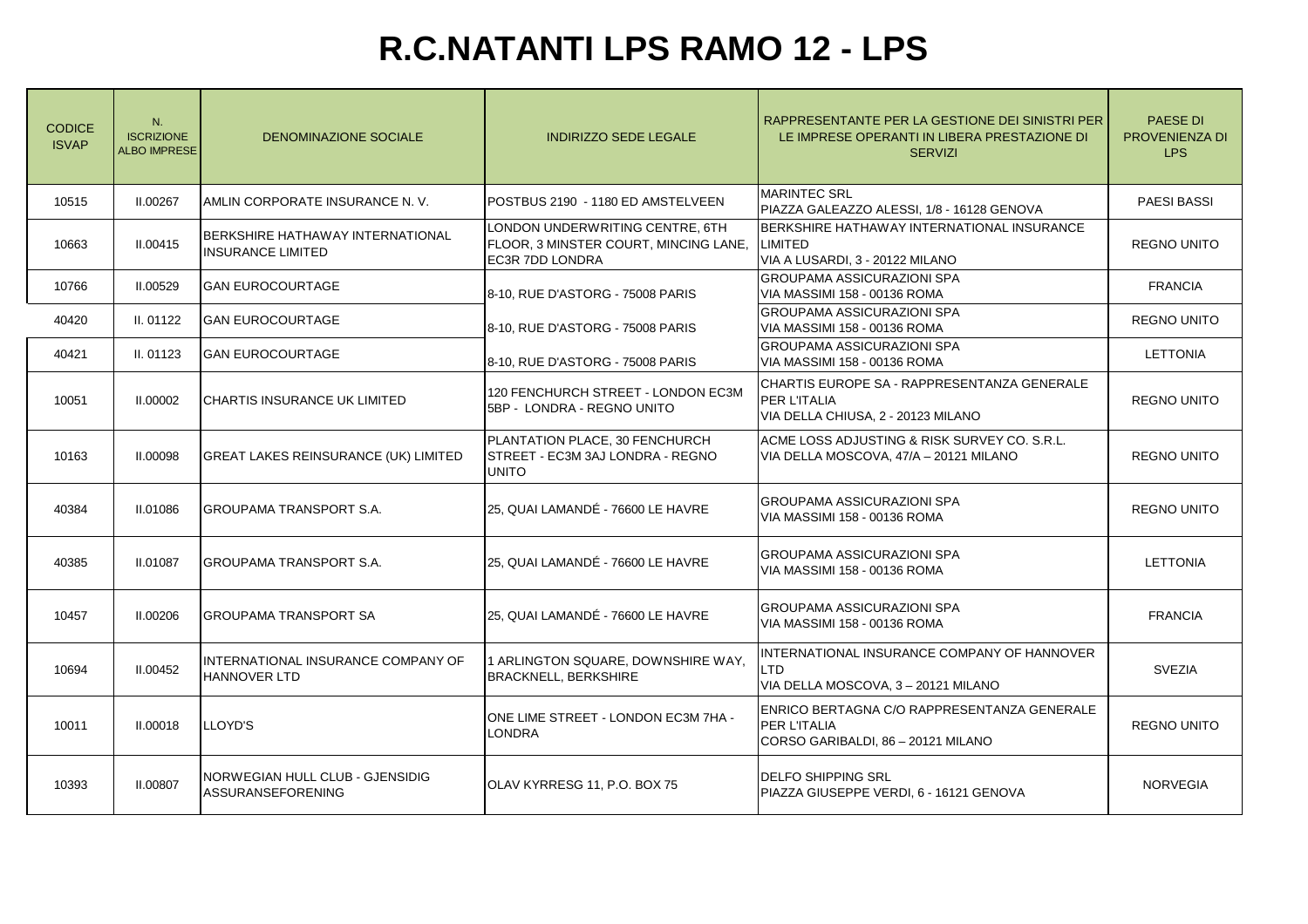# **R.C.NATANTI LPS RAMO 12 - LPS**

| <b>CODICE</b><br><b>ISVAP</b> | N.<br><b>ISCRIZIONE</b><br><b>ALBO IMPRESE</b> | DENOMINAZIONE SOCIALE                                        | <b>INDIRIZZO SEDE LEGALE</b>                                                                       | RAPPRESENTANTE PER LA GESTIONE DEI SINISTRI PER<br>LE IMPRESE OPERANTI IN LIBERA PRESTAZIONE DI<br><b>SERVIZI</b> | <b>PAESE DI</b><br>PROVENIENZA DI<br><b>LPS</b> |
|-------------------------------|------------------------------------------------|--------------------------------------------------------------|----------------------------------------------------------------------------------------------------|-------------------------------------------------------------------------------------------------------------------|-------------------------------------------------|
| 10515                         | II.00267                                       | AMLIN CORPORATE INSURANCE N.V.                               | POSTBUS 2190 - 1180 ED AMSTELVEEN                                                                  | <b>MARINTEC SRL</b><br>PIAZZA GALEAZZO ALESSI, 1/8 - 16128 GENOVA                                                 | <b>PAESI BASSI</b>                              |
| 10663                         | II.00415                                       | BERKSHIRE HATHAWAY INTERNATIONAL<br><b>INSURANCE LIMITED</b> | LONDON UNDERWRITING CENTRE, 6TH<br>FLOOR, 3 MINSTER COURT, MINCING LANE,<br><b>EC3R 7DD LONDRA</b> | BERKSHIRE HATHAWAY INTERNATIONAL INSURANCE<br><b>LIMITED</b><br>VIA A LUSARDI, 3 - 20122 MILANO                   | <b>REGNO UNITO</b>                              |
| 10766                         | II.00529                                       | <b>GAN EUROCOURTAGE</b>                                      | 8-10, RUE D'ASTORG - 75008 PARIS                                                                   | <b>GROUPAMA ASSICURAZIONI SPA</b><br>VIA MASSIMI 158 - 00136 ROMA                                                 | <b>FRANCIA</b>                                  |
| 40420                         | II. 01122                                      | <b>GAN EUROCOURTAGE</b>                                      | 8-10, RUE D'ASTORG - 75008 PARIS                                                                   | <b>GROUPAMA ASSICURAZIONI SPA</b><br>VIA MASSIMI 158 - 00136 ROMA                                                 | <b>REGNO UNITO</b>                              |
| 40421                         | II. 01123                                      | <b>GAN EUROCOURTAGE</b>                                      | 8-10, RUE D'ASTORG - 75008 PARIS                                                                   | <b>GROUPAMA ASSICURAZIONI SPA</b><br>VIA MASSIMI 158 - 00136 ROMA                                                 | <b>LETTONIA</b>                                 |
| 10051                         | II.00002                                       | CHARTIS INSURANCE UK LIMITED                                 | 120 FENCHURCH STREET - LONDON EC3M<br>5BP - LONDRA - REGNO UNITO                                   | CHARTIS EUROPE SA - RAPPRESENTANZA GENERALE<br>PER L'ITALIA<br>VIA DELLA CHIUSA, 2 - 20123 MILANO                 | <b>REGNO UNITO</b>                              |
| 10163                         | II.00098                                       | <b>GREAT LAKES REINSURANCE (UK) LIMITED</b>                  | PLANTATION PLACE, 30 FENCHURCH<br>STREET - EC3M 3AJ LONDRA - REGNO<br><b>UNITO</b>                 | ACME LOSS ADJUSTING & RISK SURVEY CO. S.R.L.<br>VIA DELLA MOSCOVA, 47/A - 20121 MILANO                            | <b>REGNO UNITO</b>                              |
| 40384                         | II.01086                                       | GROUPAMA TRANSPORT S.A.                                      | 25, QUAI LAMANDÉ - 76600 LE HAVRE                                                                  | <b>GROUPAMA ASSICURAZIONI SPA</b><br>VIA MASSIMI 158 - 00136 ROMA                                                 | <b>REGNO UNITO</b>                              |
| 40385                         | II.01087                                       | <b>GROUPAMA TRANSPORT S.A.</b>                               | 25, QUAI LAMANDÉ - 76600 LE HAVRE                                                                  | <b>GROUPAMA ASSICURAZIONI SPA</b><br>VIA MASSIMI 158 - 00136 ROMA                                                 | <b>LETTONIA</b>                                 |
| 10457                         | II.00206                                       | <b>GROUPAMA TRANSPORT SA</b>                                 | 25, QUAI LAMANDÉ - 76600 LE HAVRE                                                                  | GROUPAMA ASSICURAZIONI SPA<br>VIA MASSIMI 158 - 00136 ROMA                                                        | <b>FRANCIA</b>                                  |
| 10694                         | II.00452                                       | INTERNATIONAL INSURANCE COMPANY OF<br><b>HANNOVER LTD</b>    | 1 ARLINGTON SQUARE, DOWNSHIRE WAY,<br><b>BRACKNELL, BERKSHIRE</b>                                  | INTERNATIONAL INSURANCE COMPANY OF HANNOVER<br>LTD<br>VIA DELLA MOSCOVA, 3-20121 MILANO                           | <b>SVEZIA</b>                                   |
| 10011                         | II.00018                                       | LLOYD'S                                                      | ONE LIME STREET - LONDON EC3M 7HA -<br><b>LONDRA</b>                                               | ENRICO BERTAGNA C/O RAPPRESENTANZA GENERALE<br>PER L'ITALIA<br>CORSO GARIBALDI, 86 - 20121 MILANO                 | <b>REGNO UNITO</b>                              |
| 10393                         | <b>II.00807</b>                                | NORWEGIAN HULL CLUB - GJENSIDIG<br><b>ASSURANSEFORENING</b>  | OLAV KYRRESG 11, P.O. BOX 75                                                                       | <b>DELFO SHIPPING SRL</b><br>PIAZZA GIUSEPPE VERDI, 6 - 16121 GENOVA                                              | <b>NORVEGIA</b>                                 |